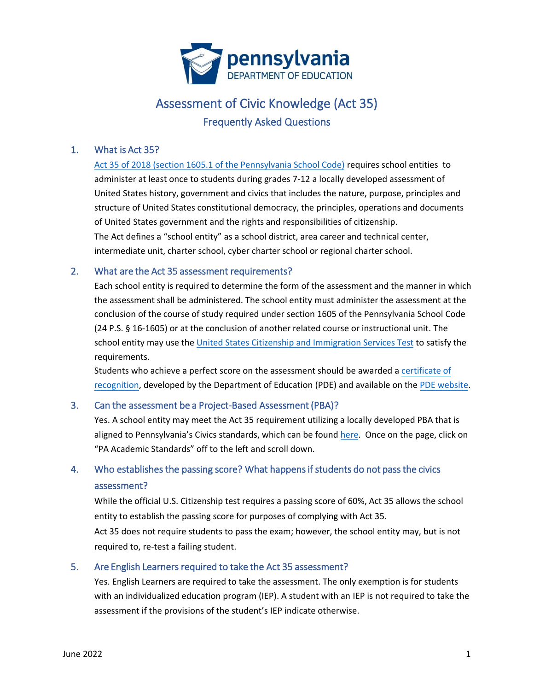

# Assessment of Civic Knowledge (Act 35) Frequently Asked Questions

### 1. What is Act 35?

[Act 35 of 2018 \(section 1605.1 of the Pennsylvania School Code\)](https://www.legis.state.pa.us/cfdocs/legis/li/uconsCheck.cfm?yr=2018&sessInd=0&act=35) requires school entities to administer at least once to students during grades 7-12 a locally developed assessment of United States history, government and civics that includes the nature, purpose, principles and structure of United States constitutional democracy, the principles, operations and documents of United States government and the rights and responsibilities of citizenship. The Act defines a "school entity" as a school district, area career and technical center, intermediate unit, charter school, cyber charter school or regional charter school.

### 2. What are the Act 35 assessment requirements?

Each school entity is required to determine the form of the assessment and the manner in which the assessment shall be administered. The school entity must administer the assessment at the conclusion of the course of study required under section 1605 of the Pennsylvania School Code (24 P.S. § 16-1605) or at the conclusion of another related course or instructional unit. The school entity may use the [United States Citizenship and Immigration Services Test](https://www.uscis.gov/sites/default/files/document/questions-and-answers/100q.pdf) to satisfy the requirements.

Students who achieve a perfect score on the assessment should be awarded [a certificate of](https://files5.pdesas.org/216165029242014010041161209216221111018037169073/Download.ashx?hash=2.2) [recognition,](https://files5.pdesas.org/216165029242014010041161209216221111018037169073/Download.ashx?hash=2.2) developed by the Department of Education (PDE) and available on th[e PDE website.](https://www.pdesas.org/Page/Viewer/ViewPage/48/)

### 3. Can the assessment be a Project-Based Assessment (PBA)?

Yes. A school entity may meet the Act 35 requirement utilizing a locally developed PBA that is aligned to Pennsylvania's Civics standards, which can be found [here.](https://www.pdesas.org/Page/Viewer/ViewPage/11) Once on the page, click on "PA Academic Standards" off to the left and scroll down.

## 4. Who establishes the passing score? What happens if students do not pass the civics assessment?

While the official U.S. Citizenship test requires a passing score of 60%, Act 35 allows the school entity to establish the passing score for purposes of complying with Act 35.

Act 35 does not require students to pass the exam; however, the school entity may, but is not required to, re-test a failing student.

### 5. Are English Learners required to take the Act 35 assessment?

Yes. English Learners are required to take the assessment. The only exemption is for students with an individualized education program (IEP). A student with an IEP is not required to take the assessment if the provisions of the student's IEP indicate otherwise.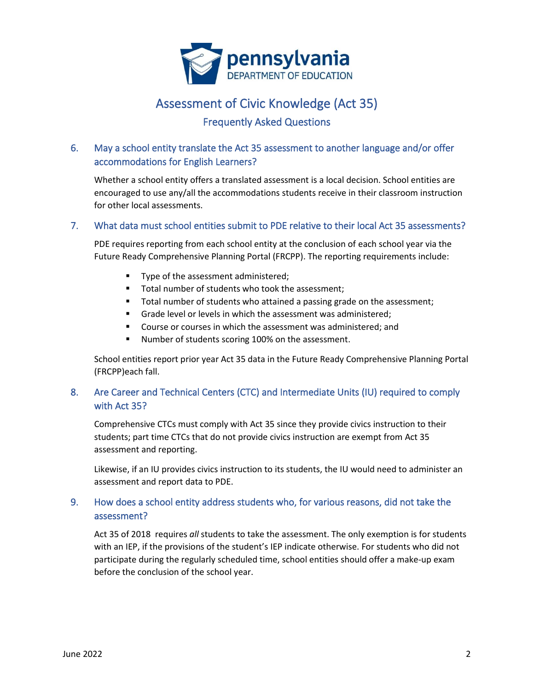

## Assessment of Civic Knowledge (Act 35)

## Frequently Asked Questions

## 6. May a school entity translate the Act 35 assessment to another language and/or offer accommodations for English Learners?

Whether a school entity offers a translated assessment is a local decision. School entities are encouraged to use any/all the accommodations students receive in their classroom instruction for other local assessments.

### 7. What data must school entities submit to PDE relative to their local Act 35 assessments?

PDE requires reporting from each school entity at the conclusion of each school year via the Future Ready Comprehensive Planning Portal (FRCPP). The reporting requirements include:

- Type of the assessment administered;
- Total number of students who took the assessment;
- Total number of students who attained a passing grade on the assessment;
- Grade level or levels in which the assessment was administered;
- Course or courses in which the assessment was administered; and
- Number of students scoring 100% on the assessment.

School entities report prior year Act 35 data in the Future Ready Comprehensive Planning Portal (FRCPP)each fall.

## 8. Are Career and Technical Centers (CTC) and Intermediate Units (IU) required to comply with Act 35?

Comprehensive CTCs must comply with Act 35 since they provide civics instruction to their students; part time CTCs that do not provide civics instruction are exempt from Act 35 assessment and reporting.

Likewise, if an IU provides civics instruction to its students, the IU would need to administer an assessment and report data to PDE.

## 9. How does a school entity address students who, for various reasons, did not take the assessment?

Act 35 of 2018 requires *all* students to take the assessment. The only exemption is for students with an IEP, if the provisions of the student's IEP indicate otherwise. For students who did not participate during the regularly scheduled time, school entities should offer a make-up exam before the conclusion of the school year.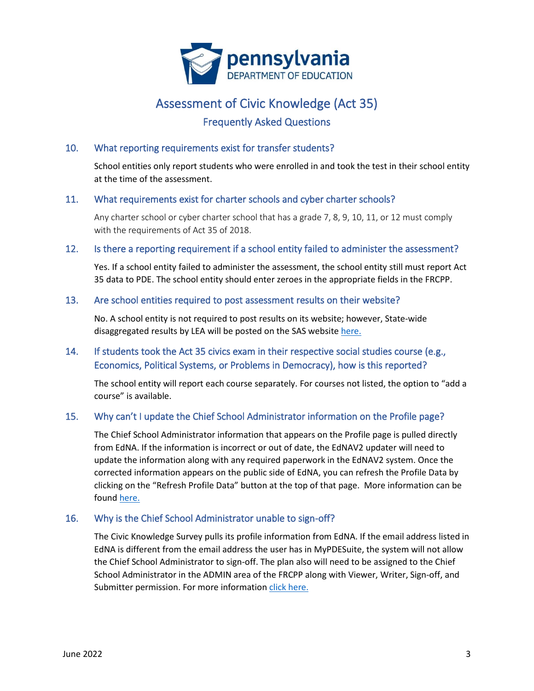

## Assessment of Civic Knowledge (Act 35)

## Frequently Asked Questions

### 10. What reporting requirements exist for transfer students?

School entities only report students who were enrolled in and took the test in their school entity at the time of the assessment.

### 11. What requirements exist for charter schools and cyber charter schools?

Any charter school or cyber charter school that has a grade 7, 8, 9, 10, 11, or 12 must comply with the requirements of Act 35 of 2018.

### 12. Is there a reporting requirement if a school entity failed to administer the assessment?

Yes. If a school entity failed to administer the assessment, the school entity still must report Act 35 data to PDE. The school entity should enter zeroes in the appropriate fields in the FRCPP.

#### 13. Are school entities required to post assessment results on their website?

No. A school entity is not required to post results on its website; however, State-wide disaggregated results by LEA will be posted on the SAS website [here.](https://www.pdesas.org/Page/Viewer/ViewPage/48/)

### 14. If students took the Act 35 civics exam in their respective social studies course (e.g., Economics, Political Systems, or Problems in Democracy), how is this reported?

The school entity will report each course separately. For courses not listed, the option to "add a course" is available.

### 15. Why can't I update the Chief School Administrator information on the Profile page?

The Chief School Administrator information that appears on the Profile page is pulled directly from EdNA. If the information is incorrect or out of date, the EdNAV2 updater will need to update the information along with any required paperwork in the EdNAV2 system. Once the corrected information appears on the public side of EdNA, you can refresh the Profile Data by clicking on the "Refresh Profile Data" button at the top of that page. More information can be found [here.](https://www.education.pa.gov/DataAndReporting/PIMS/EdNA/Pages/default.aspx)

### 16. Why is the Chief School Administrator unable to sign-off?

The Civic Knowledge Survey pulls its profile information from EdNA. If the email address listed in EdNA is different from the email address the user has in MyPDESuite, the system will not allow the Chief School Administrator to sign-off. The plan also will need to be assigned to the Chief School Administrator in the ADMIN area of the FRCPP along with Viewer, Writer, Sign-off, and Submitter permission. For more information [click here.](https://www.education.pa.gov/Teachers%20-%20Administrators/Comprehensive%20Planning/Pages/FRCPP.aspx)